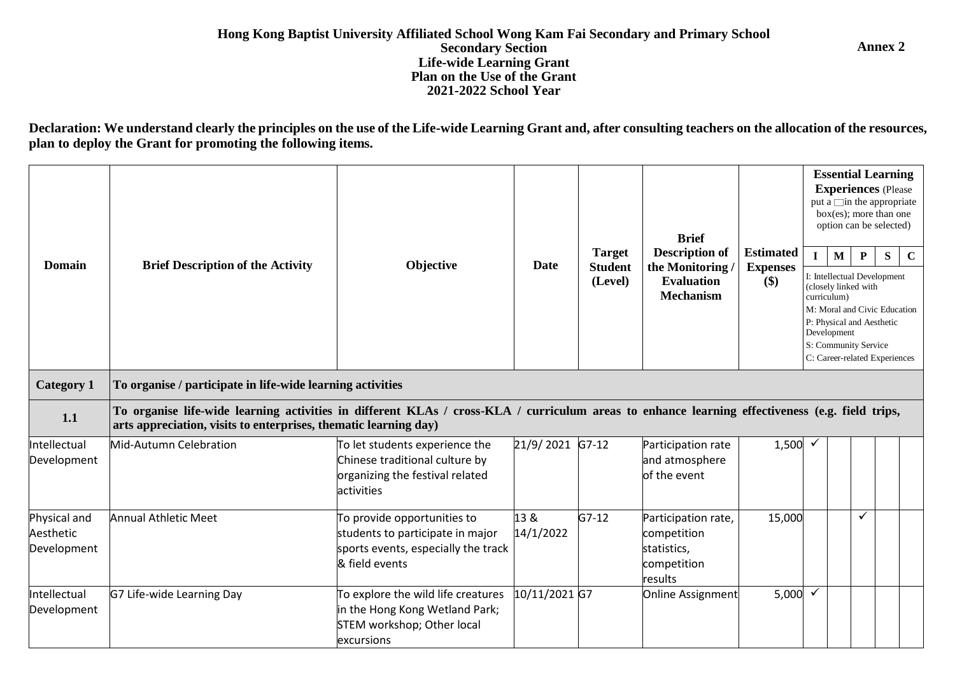## **Hong Kong Baptist University Affiliated School Wong Kam Fai Secondary and Primary School Secondary Section Life-wide Learning Grant Plan on the Use of the Grant 2021-2022 School Year**

**Annex 2**

Declaration: We understand clearly the principles on the use of the Life-wide Learning Grant and, after consulting teachers on the allocation of the resources, **plan to deploy the Grant for promoting the following items.**

| <b>Domain</b>                            | <b>Brief Description of the Activity</b>                                                                                                                                                                            | Objective                                                                                                                | Date              | <b>Target</b><br><b>Student</b><br>(Level) | <b>Brief</b><br><b>Description of</b><br>the Monitoring<br><b>Evaluation</b><br><b>Mechanism</b> | <b>Estimated</b><br><b>Expenses</b><br>$(\$)$ | curriculum)  | $\mathbf{M}$<br>I: Intellectual Development<br>(closely linked with<br>P: Physical and Aesthetic<br>Development<br>S: Community Service | P | <b>Essential Learning</b><br><b>Experiences</b> (Please<br>put a $\Box$ in the appropriate<br>$box(es)$ ; more than one<br>option can be selected)<br>S.<br>$\mathbf C$<br>M: Moral and Civic Education<br>C: Career-related Experiences |
|------------------------------------------|---------------------------------------------------------------------------------------------------------------------------------------------------------------------------------------------------------------------|--------------------------------------------------------------------------------------------------------------------------|-------------------|--------------------------------------------|--------------------------------------------------------------------------------------------------|-----------------------------------------------|--------------|-----------------------------------------------------------------------------------------------------------------------------------------|---|------------------------------------------------------------------------------------------------------------------------------------------------------------------------------------------------------------------------------------------|
| <b>Category 1</b>                        | To organise / participate in life-wide learning activities                                                                                                                                                          |                                                                                                                          |                   |                                            |                                                                                                  |                                               |              |                                                                                                                                         |   |                                                                                                                                                                                                                                          |
| 1.1                                      | To organise life-wide learning activities in different KLAs / cross-KLA / curriculum areas to enhance learning effectiveness (e.g. field trips,<br>arts appreciation, visits to enterprises, thematic learning day) |                                                                                                                          |                   |                                            |                                                                                                  |                                               |              |                                                                                                                                         |   |                                                                                                                                                                                                                                          |
| Intellectual<br>Development              | Mid-Autumn Celebration                                                                                                                                                                                              | To let students experience the<br>Chinese traditional culture by<br>organizing the festival related<br>activities        | 21/9/2021         | $G7-12$                                    | Participation rate<br>and atmosphere<br>of the event                                             | $1,500 \times$                                |              |                                                                                                                                         |   |                                                                                                                                                                                                                                          |
| Physical and<br>Aesthetic<br>Development | <b>Annual Athletic Meet</b>                                                                                                                                                                                         | To provide opportunities to<br>students to participate in major<br>sports events, especially the track<br>& field events | 13 &<br>14/1/2022 | $G7-12$                                    | Participation rate,<br>competition<br>statistics,<br>competition<br>results                      | 15,000                                        |              |                                                                                                                                         | ✓ |                                                                                                                                                                                                                                          |
| Intellectual<br>Development              | G7 Life-wide Learning Day                                                                                                                                                                                           | To explore the wild life creatures<br>in the Hong Kong Wetland Park;<br>STEM workshop; Other local<br>excursions         | 10/11/2021 G7     |                                            | Online Assignment                                                                                | 5,000                                         | $\checkmark$ |                                                                                                                                         |   |                                                                                                                                                                                                                                          |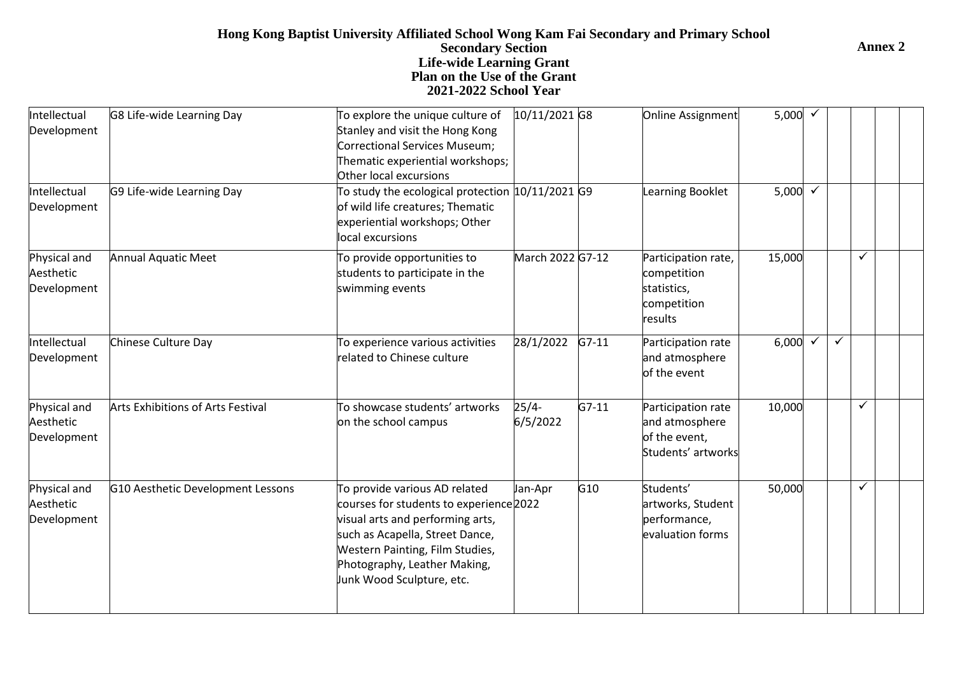## **Hong Kong Baptist University Affiliated School Wong Kam Fai Secondary and Primary School Secondary Section Life-wide Learning Grant Plan on the Use of the Grant 2021-2022 School Year**

| Intellectual<br>Development              | G8 Life-wide Learning Day         | To explore the unique culture of<br>Stanley and visit the Hong Kong<br>Correctional Services Museum;<br>Thematic experiential workshops;<br>Other local excursions                                                                              | 10/11/2021 G8       |         | Online Assignment                                                           | 5,000 $\checkmark$ |              |   |  |
|------------------------------------------|-----------------------------------|-------------------------------------------------------------------------------------------------------------------------------------------------------------------------------------------------------------------------------------------------|---------------------|---------|-----------------------------------------------------------------------------|--------------------|--------------|---|--|
| Intellectual<br>Development              | G9 Life-wide Learning Day         | To study the ecological protection $ 10/11/2021 G9$<br>of wild life creatures; Thematic<br>experiential workshops; Other<br>local excursions                                                                                                    |                     |         | Learning Booklet                                                            | 5,000 $\sqrt{}$    |              |   |  |
| Physical and<br>Aesthetic<br>Development | <b>Annual Aquatic Meet</b>        | To provide opportunities to<br>students to participate in the<br>swimming events                                                                                                                                                                | March 2022 G7-12    |         | Participation rate,<br>competition<br>statistics,<br>competition<br>results | 15,000             |              | ✓ |  |
| Intellectual<br>Development              | Chinese Culture Day               | To experience various activities<br>related to Chinese culture                                                                                                                                                                                  | 28/1/2022           | $G7-11$ | Participation rate<br>and atmosphere<br>of the event                        | 6,000              | $\checkmark$ |   |  |
| Physical and<br>Aesthetic<br>Development | Arts Exhibitions of Arts Festival | To showcase students' artworks<br>on the school campus                                                                                                                                                                                          | $25/4-$<br>6/5/2022 | $G7-11$ | Participation rate<br>and atmosphere<br>of the event,<br>Students' artworks | 10,000             |              | ✓ |  |
| Physical and<br>Aesthetic<br>Development | G10 Aesthetic Development Lessons | To provide various AD related<br>courses for students to experience 2022<br>visual arts and performing arts,<br>such as Acapella, Street Dance,<br>Western Painting, Film Studies,<br>Photography, Leather Making,<br>Junk Wood Sculpture, etc. | Jan-Apr             | G10     | Students'<br>artworks, Student<br>performance,<br>evaluation forms          | 50,000             |              | ✓ |  |

**Annex 2**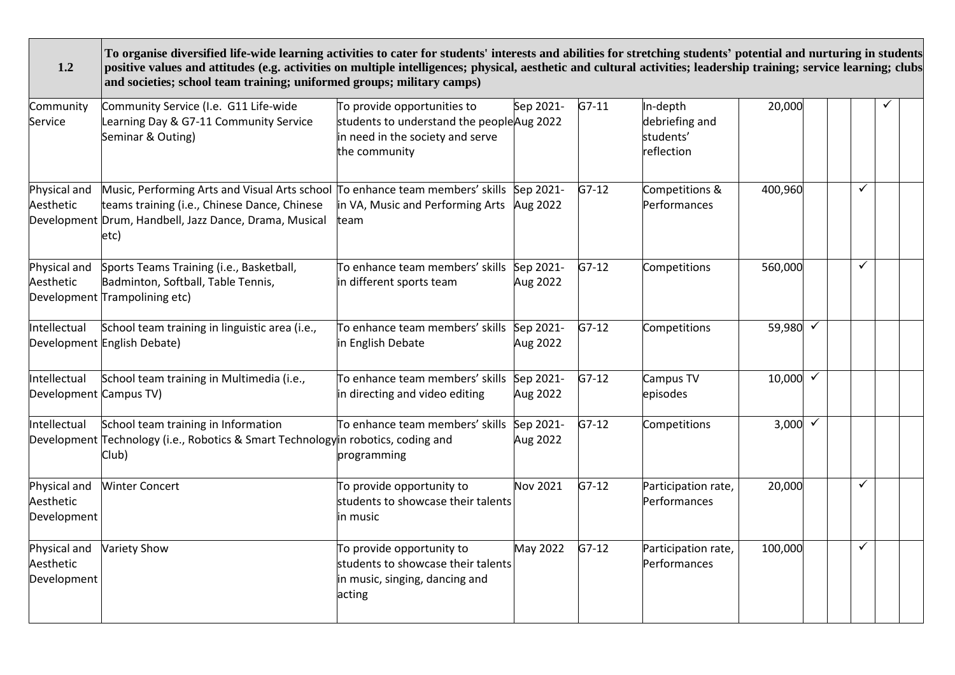| 1.2                                      | To organise diversified life-wide learning activities to cater for students' interests and abilities for stretching students' potential and nurturing in students<br>positive values and attitudes (e.g. activities on multiple intelligences; physical, aesthetic and cultural activities; leadership training; service learning; clubs<br>and societies; school team training; uniformed groups; military camps) |                                                                                                                                |                       |         |                                                       |         |              |   |  |
|------------------------------------------|--------------------------------------------------------------------------------------------------------------------------------------------------------------------------------------------------------------------------------------------------------------------------------------------------------------------------------------------------------------------------------------------------------------------|--------------------------------------------------------------------------------------------------------------------------------|-----------------------|---------|-------------------------------------------------------|---------|--------------|---|--|
| Community<br>Service                     | Community Service (I.e. G11 Life-wide<br>Learning Day & G7-11 Community Service<br>Seminar & Outing)                                                                                                                                                                                                                                                                                                               | To provide opportunities to<br>students to understand the people Aug 2022<br>in need in the society and serve<br>the community | Sep 2021-             | $G7-11$ | In-depth<br>debriefing and<br>students'<br>reflection | 20,000  |              |   |  |
| Physical and<br>Aesthetic                | Music, Performing Arts and Visual Arts school To enhance team members' skills<br>teams training (i.e., Chinese Dance, Chinese<br>Development Drum, Handbell, Jazz Dance, Drama, Musical<br>etc)                                                                                                                                                                                                                    | in VA, Music and Performing Arts<br>team                                                                                       | Sep 2021-<br>Aug 2022 | $G7-12$ | Competitions &<br>Performances                        | 400,960 |              | ✓ |  |
| Physical and<br>Aesthetic                | Sports Teams Training (i.e., Basketball,<br>Badminton, Softball, Table Tennis,<br>Development Trampolining etc)                                                                                                                                                                                                                                                                                                    | To enhance team members' skills<br>in different sports team                                                                    | Sep 2021-<br>Aug 2022 | $G7-12$ | Competitions                                          | 560,000 |              | ✓ |  |
| Intellectual                             | School team training in linguistic area (i.e.,<br>Development English Debate)                                                                                                                                                                                                                                                                                                                                      | To enhance team members' skills Sep 2021-<br>in English Debate                                                                 | Aug 2022              | $G7-12$ | Competitions                                          | 59,980  |              |   |  |
| Intellectual<br>Development Campus TV)   | School team training in Multimedia (i.e.,                                                                                                                                                                                                                                                                                                                                                                          | To enhance team members' skills<br>in directing and video editing                                                              | Sep 2021-<br>Aug 2022 | $G7-12$ | Campus TV<br>episodes                                 | 10,000  |              |   |  |
| Intellectual                             | School team training in Information<br>Development Technology (i.e., Robotics & Smart Technology in robotics, coding and<br>Club)                                                                                                                                                                                                                                                                                  | To enhance team members' skills<br>programming                                                                                 | Sep 2021-<br>Aug 2022 | $G7-12$ | Competitions                                          | 3,000   | $\checkmark$ |   |  |
| Physical and<br>Aesthetic<br>Development | <b>Winter Concert</b>                                                                                                                                                                                                                                                                                                                                                                                              | To provide opportunity to<br>students to showcase their talents<br>in music                                                    | Nov 2021              | $G7-12$ | Participation rate,<br>Performances                   | 20,000  |              | ✓ |  |
| Physical and<br>Aesthetic<br>Development | Variety Show                                                                                                                                                                                                                                                                                                                                                                                                       | To provide opportunity to<br>students to showcase their talents<br>in music, singing, dancing and<br>acting                    | May 2022              | $G7-12$ | Participation rate,<br>Performances                   | 100,000 |              | ✓ |  |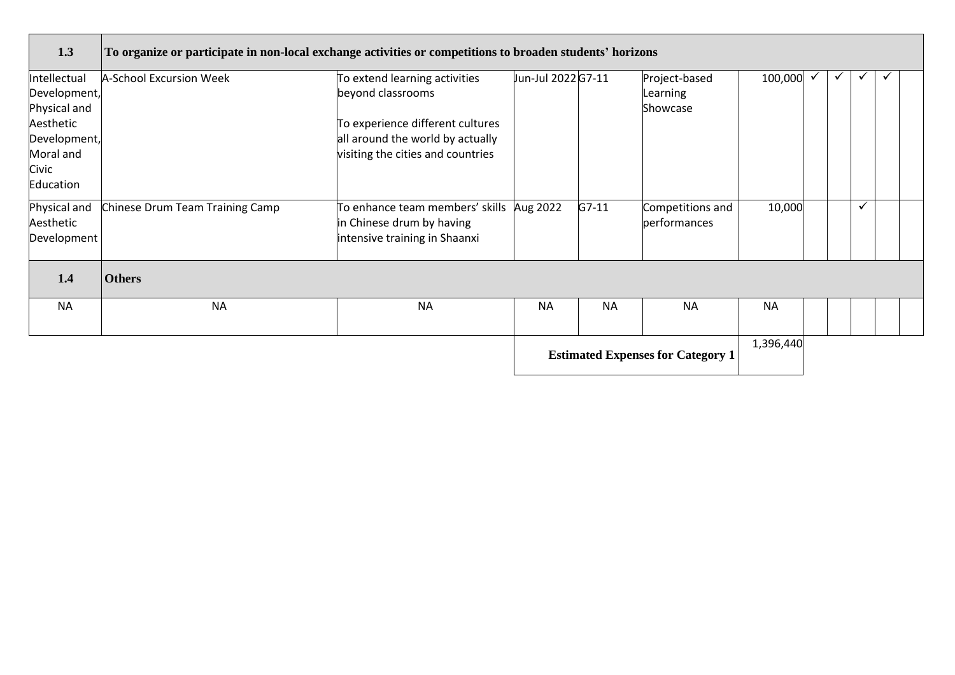| 1.3                                                                                                          | To organize or participate in non-local exchange activities or competitions to broaden students' horizons |                                                                                                                                                                 |                    |           |                                          |           |   |  |  |
|--------------------------------------------------------------------------------------------------------------|-----------------------------------------------------------------------------------------------------------|-----------------------------------------------------------------------------------------------------------------------------------------------------------------|--------------------|-----------|------------------------------------------|-----------|---|--|--|
| Intellectual<br>Development,<br>Physical and<br>Aesthetic<br>Development,<br>Moral and<br>Civic<br>Education | <b>A-School Excursion Week</b>                                                                            | To extend learning activities<br>beyond classrooms<br>To experience different cultures<br>all around the world by actually<br>visiting the cities and countries | Jun-Jul 2022 G7-11 |           | Project-based<br>Learning<br>Showcase    | 100,000   | ✓ |  |  |
| Physical and<br>Aesthetic<br>Development                                                                     | Chinese Drum Team Training Camp                                                                           | To enhance team members' skills<br>in Chinese drum by having<br>intensive training in Shaanxi                                                                   | Aug 2022           | $G7-11$   | Competitions and<br>performances         | 10,000    |   |  |  |
| 1.4                                                                                                          | <b>Others</b>                                                                                             |                                                                                                                                                                 |                    |           |                                          |           |   |  |  |
| <b>NA</b>                                                                                                    | <b>NA</b>                                                                                                 | <b>NA</b>                                                                                                                                                       | <b>NA</b>          | <b>NA</b> | <b>NA</b>                                | <b>NA</b> |   |  |  |
|                                                                                                              |                                                                                                           |                                                                                                                                                                 |                    |           | <b>Estimated Expenses for Category 1</b> | 1,396,440 |   |  |  |